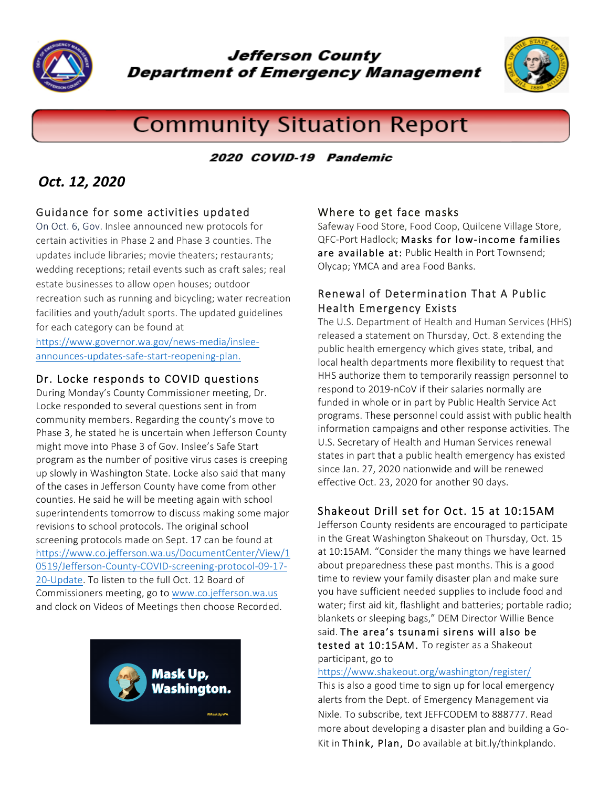

**Jefferson County Department of Emergency Management** 



# **Community Situation Report**

#### 2020 COVID-19 Pandemic

# *Oct. 12, 2020*

#### Guidance for some activities updated

On Oct. 6, Gov. Inslee announced new protocols for certain activities in Phase 2 and Phase 3 counties. The updates include libraries; movie theaters; restaurants; wedding receptions; retail events such as craft sales; real estate businesses to allow open houses; outdoor recreation such as running and bicycling; water recreation facilities and youth/adult sports. The updated guidelines for each category can be found at

https://www.governor.wa.gov/news-media/insleeannounces-updates-safe-start-reopening-plan.

#### Dr. Locke responds to COVID questions

During Monday's County Commissioner meeting, Dr. Locke responded to several questions sent in from community members. Regarding the county's move to Phase 3, he stated he is uncertain when Jefferson County might move into Phase 3 of Gov. Inslee's Safe Start program as the number of positive virus cases is creeping up slowly in Washington State. Locke also said that many of the cases in Jefferson County have come from other counties. He said he will be meeting again with school superintendents tomorrow to discuss making some major revisions to school protocols. The original school screening protocols made on Sept. 17 can be found at https://www.co.jefferson.wa.us/DocumentCenter/View/1 0519/Jefferson-County-COVID-screening-protocol-09-17- 20-Update. To listen to the full Oct. 12 Board of Commissioners meeting, go to www.co.jefferson.wa.us and clock on Videos of Meetings then choose Recorded.



#### Where to get face masks

Safeway Food Store, Food Coop, Quilcene Village Store, QFC-Port Hadlock; Masks for low-income families are available at: Public Health in Port Townsend; Olycap; YMCA and area Food Banks.

#### Renewal of Determination That A Public Health Emergency Exists

The U.S. Department of Health and Human Services (HHS) released a statement on Thursday, Oct. 8 extending the public health emergency which gives state, tribal, and local health departments more flexibility to request that HHS authorize them to temporarily reassign personnel to respond to 2019-nCoV if their salaries normally are funded in whole or in part by Public Health Service Act programs. These personnel could assist with public health information campaigns and other response activities. The U.S. Secretary of Health and Human Services renewal states in part that a public health emergency has existed since Jan. 27, 2020 nationwide and will be renewed effective Oct. 23, 2020 for another 90 days.

### Shakeout Drill set for Oct. 15 at 10:15AM

Jefferson County residents are encouraged to participate in the Great Washington Shakeout on Thursday, Oct. 15 at 10:15AM. "Consider the many things we have learned about preparedness these past months. This is a good time to review your family disaster plan and make sure you have sufficient needed supplies to include food and water; first aid kit, flashlight and batteries; portable radio; blankets or sleeping bags," DEM Director Willie Bence said. The area's tsunami sirens will also be tested at 10:15AM. To register as a Shakeout participant, go to

#### https://www.shakeout.org/washington/register/

This is also a good time to sign up for local emergency alerts from the Dept. of Emergency Management via Nixle. To subscribe, text JEFFCODEM to 888777. Read more about developing a disaster plan and building a Go-Kit in Think, Plan, Do available at bit.ly/thinkplando.